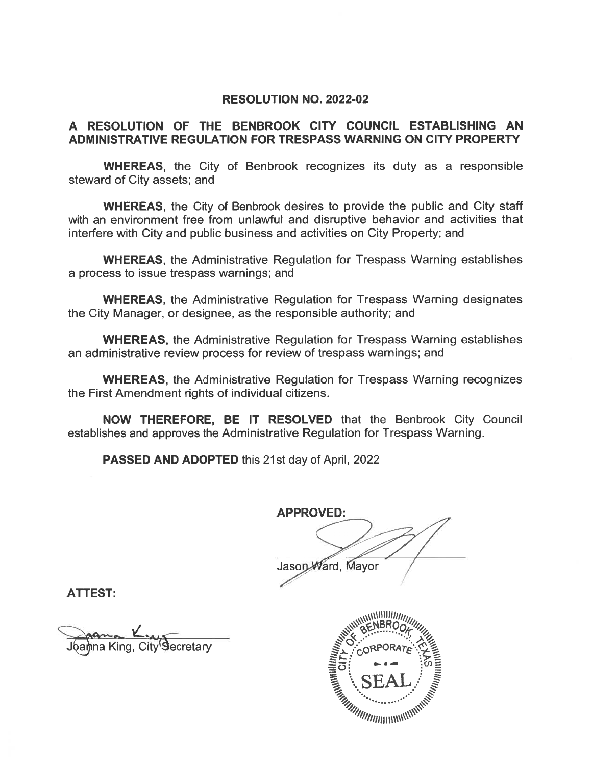#### **RESOLUTION NO. 2022-02**

#### A RESOLUTION OF THE BENBROOK CITY COUNCIL ESTABLISHING AN ADMINISTRATIVE REGULATION FOR TRESPASS WARNING ON CITY PROPERTY

**WHEREAS,** the City of Benbrook recognizes its duty as a responsible steward of City assets; and

**WHEREAS.** the City of Benbrook desires to provide the public and City staff with an environment free from unlawful and disruptive behavior and activities that interfere with City and public business and activities on City Property; and

**WHEREAS, the Administrative Regulation for Trespass Warning establishes** a process to issue trespass warnings; and

**WHEREAS**, the Administrative Regulation for Trespass Warning designates the City Manager, or designee, as the responsible authority; and

**WHEREAS, the Administrative Regulation for Trespass Warning establishes** an administrative review process for review of trespass warnings; and

**WHEREAS, the Administrative Regulation for Trespass Warning recognizes** the First Amendment rights of individual citizens.

NOW THEREFORE, BE IT RESOLVED that the Benbrook City Council establishes and approves the Administrative Regulation for Trespass Warning.

**PASSED AND ADOPTED this 21st day of April, 2022** 

**APPROVED:** 

Jason Ward, Mayor

**ATTEST:** 

Joanna King, City Secretary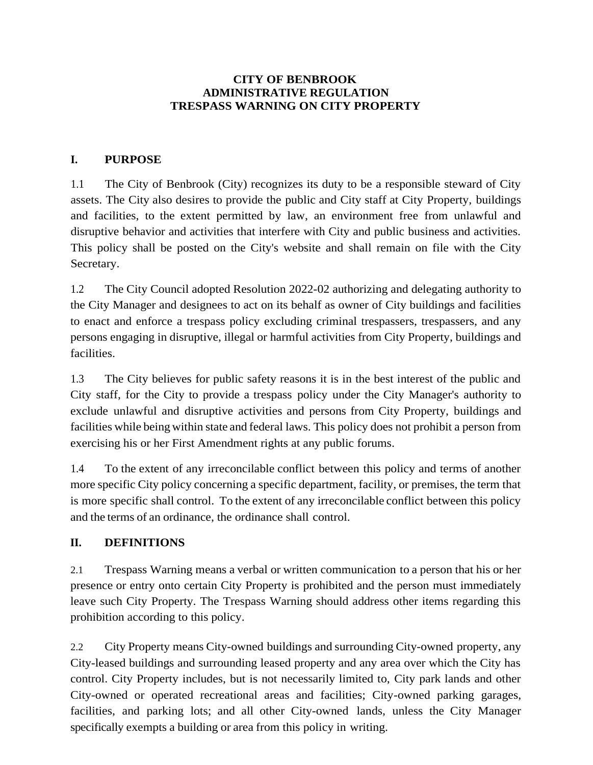#### **CITY OF BENBROOK ADMINISTRATIVE REGULATION TRESPASS WARNING ON CITY PROPERTY**

#### **I. PURPOSE**

1.1 The City of Benbrook (City) recognizes its duty to be a responsible steward of City assets. The City also desires to provide the public and City staff at City Property, buildings and facilities, to the extent permitted by law, an environment free from unlawful and disruptive behavior and activities that interfere with City and public business and activities. This policy shall be posted on the City's website and shall remain on file with the City Secretary.

1.2 The City Council adopted Resolution 2022-02 authorizing and delegating authority to the City Manager and designees to act on its behalf as owner of City buildings and facilities to enact and enforce a trespass policy excluding criminal trespassers, trespassers, and any persons engaging in disruptive, illegal or harmful activities from City Property, buildings and facilities.

1.3 The City believes for public safety reasons it is in the best interest of the public and City staff, for the City to provide a trespass policy under the City Manager's authority to exclude unlawful and disruptive activities and persons from City Property, buildings and facilities while being within state and federal laws. This policy does not prohibit a person from exercising his or her First Amendment rights at any public forums.

1.4 To the extent of any irreconcilable conflict between this policy and terms of another more specific City policy concerning a specific department, facility, or premises, the term that is more specific shall control. To the extent of any irreconcilable conflict between this policy and the terms of an ordinance, the ordinance shall control.

#### **II. DEFINITIONS**

2.1 Trespass Warning means a verbal or written communication to a person that his or her presence or entry onto certain City Property is prohibited and the person must immediately leave such City Property. The Trespass Warning should address other items regarding this prohibition according to this policy.

2.2 City Property means City-owned buildings and surrounding City-owned property, any City-leased buildings and surrounding leased property and any area over which the City has control. City Property includes, but is not necessarily limited to, City park lands and other City-owned or operated recreational areas and facilities; City-owned parking garages, facilities, and parking lots; and all other City-owned lands, unless the City Manager specifically exempts a building or area from this policy in writing.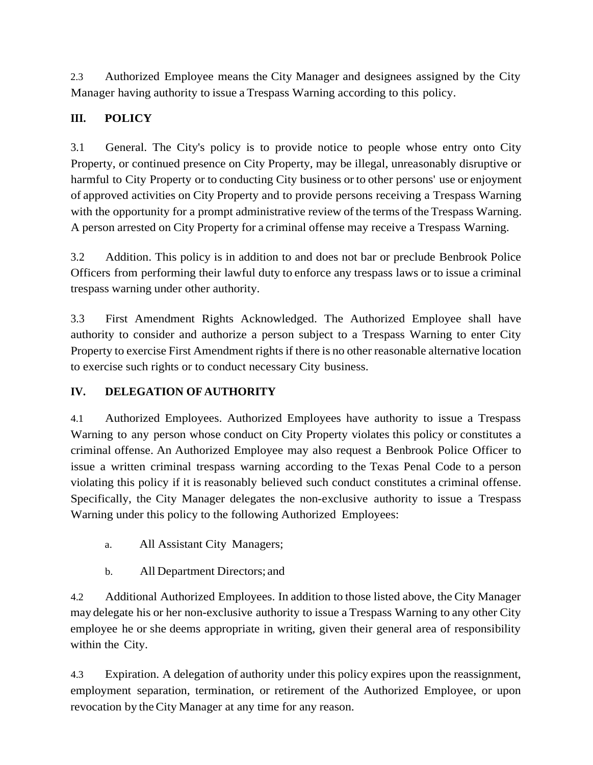2.3 Authorized Employee means the City Manager and designees assigned by the City Manager having authority to issue a Trespass Warning according to this policy.

# **III. POLICY**

3.1 General. The City's policy is to provide notice to people whose entry onto City Property, or continued presence on City Property, may be illegal, unreasonably disruptive or harmful to City Property or to conducting City business or to other persons' use or enjoyment of approved activities on City Property and to provide persons receiving a Trespass Warning with the opportunity for a prompt administrative review of the terms of the Trespass Warning. A person arrested on City Property for a criminal offense may receive a Trespass Warning.

3.2 Addition. This policy is in addition to and does not bar or preclude Benbrook Police Officers from performing their lawful duty to enforce any trespass laws or to issue a criminal trespass warning under other authority.

3.3 First Amendment Rights Acknowledged. The Authorized Employee shall have authority to consider and authorize a person subject to a Trespass Warning to enter City Property to exercise First Amendment rights if there is no other reasonable alternative location to exercise such rights or to conduct necessary City business.

## **IV. DELEGATION OF AUTHORITY**

4.1 Authorized Employees. Authorized Employees have authority to issue a Trespass Warning to any person whose conduct on City Property violates this policy or constitutes a criminal offense. An Authorized Employee may also request a Benbrook Police Officer to issue a written criminal trespass warning according to the Texas Penal Code to a person violating this policy if it is reasonably believed such conduct constitutes a criminal offense. Specifically, the City Manager delegates the non-exclusive authority to issue a Trespass Warning under this policy to the following Authorized Employees:

- a. All Assistant City Managers;
- b. All Department Directors; and

4.2 Additional Authorized Employees. In addition to those listed above, the City Manager may delegate his or her non-exclusive authority to issue a Trespass Warning to any other City employee he or she deems appropriate in writing, given their general area of responsibility within the City.

4.3 Expiration. A delegation of authority under this policy expires upon the reassignment, employment separation, termination, or retirement of the Authorized Employee, or upon revocation by the City Manager at any time for any reason.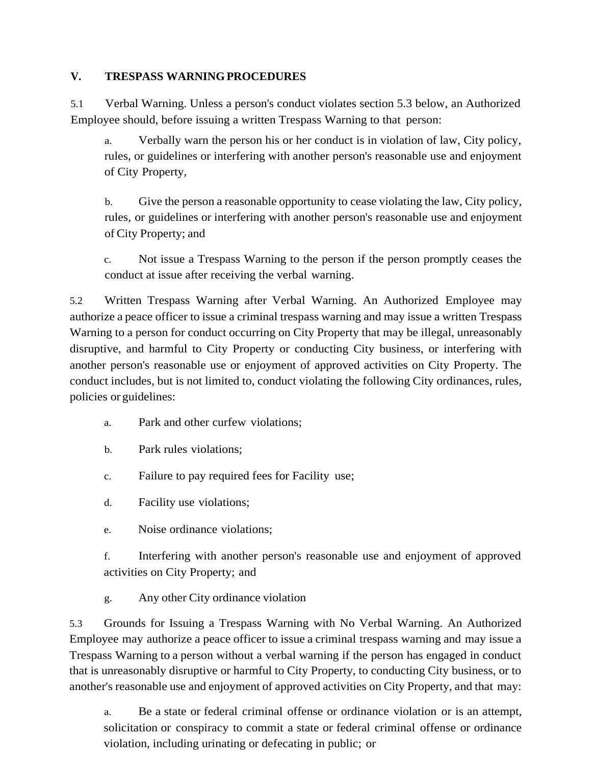### **V. TRESPASS WARNING PROCEDURES**

5.1 Verbal Warning. Unless a person's conduct violates section 5.3 below, an Authorized Employee should, before issuing a written Trespass Warning to that person:

a. Verbally warn the person his or her conduct is in violation of law, City policy, rules, or guidelines or interfering with another person's reasonable use and enjoyment of City Property,

b. Give the person a reasonable opportunity to cease violating the law, City policy, rules, or guidelines or interfering with another person's reasonable use and enjoyment of City Property; and

c. Not issue a Trespass Warning to the person if the person promptly ceases the conduct at issue after receiving the verbal warning.

5.2 Written Trespass Warning after Verbal Warning. An Authorized Employee may authorize a peace officer to issue a criminal trespass warning and may issue a written Trespass Warning to a person for conduct occurring on City Property that may be illegal, unreasonably disruptive, and harmful to City Property or conducting City business, or interfering with another person's reasonable use or enjoyment of approved activities on City Property. The conduct includes, but is not limited to, conduct violating the following City ordinances, rules, policies or guidelines:

- a. Park and other curfew violations;
- b. Park rules violations;
- c. Failure to pay required fees for Facility use;
- d. Facility use violations;
- e. Noise ordinance violations;

f. Interfering with another person's reasonable use and enjoyment of approved activities on City Property; and

g. Any other City ordinance violation

5.3 Grounds for Issuing a Trespass Warning with No Verbal Warning. An Authorized Employee may authorize a peace officer to issue a criminal trespass warning and may issue a Trespass Warning to a person without a verbal warning if the person has engaged in conduct that is unreasonably disruptive or harmful to City Property, to conducting City business, or to another's reasonable use and enjoyment of approved activities on City Property, and that may:

a. Be a state or federal criminal offense or ordinance violation or is an attempt, solicitation or conspiracy to commit a state or federal criminal offense or ordinance violation, including urinating or defecating in public; or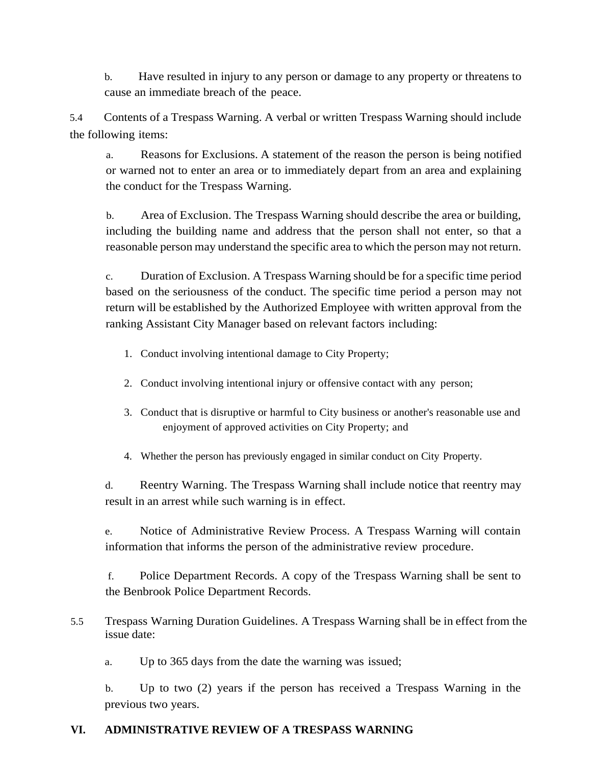b. Have resulted in injury to any person or damage to any property or threatens to cause an immediate breach of the peace.

5.4 Contents of a Trespass Warning. A verbal or written Trespass Warning should include the following items:

a. Reasons for Exclusions. A statement of the reason the person is being notified or warned not to enter an area or to immediately depart from an area and explaining the conduct for the Trespass Warning.

b. Area of Exclusion. The Trespass Warning should describe the area or building, including the building name and address that the person shall not enter, so that a reasonable person may understand the specific area to which the person may notreturn.

c. Duration of Exclusion. A Trespass Warning should be for a specific time period based on the seriousness of the conduct. The specific time period a person may not return will be established by the Authorized Employee with written approval from the ranking Assistant City Manager based on relevant factors including:

- 1. Conduct involving intentional damage to City Property;
- 2. Conduct involving intentional injury or offensive contact with any person;
- 3. Conduct that is disruptive or harmful to City business or another's reasonable use and enjoyment of approved activities on City Property; and

4. Whether the person has previously engaged in similar conduct on City Property.

d. Reentry Warning. The Trespass Warning shall include notice that reentry may result in an arrest while such warning is in effect.

e. Notice of Administrative Review Process. A Trespass Warning will contain information that informs the person of the administrative review procedure.

f. Police Department Records. A copy of the Trespass Warning shall be sent to the Benbrook Police Department Records.

5.5 Trespass Warning Duration Guidelines. A Trespass Warning shall be in effect from the issue date:

a. Up to 365 days from the date the warning was issued;

b. Up to two (2) years if the person has received a Trespass Warning in the previous two years.

## **VI. ADMINISTRATIVE REVIEW OF A TRESPASS WARNING**